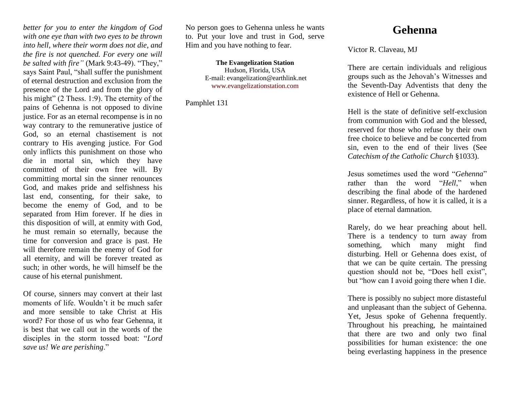*better for you to enter the kingdom of God with one eye than with two eyes to be thrown into hell, where their worm does not die, and the fire is not quenched. For every one will be salted with fire"* (Mark 9:43-49). "They," says Saint Paul, "shall suffer the punishment of eternal destruction and exclusion from the presence of the Lord and from the glory of his might" (2 Thess. 1:9). The eternity of the pains of Gehenna is not opposed to divine justice. For as an eternal recompense is in no way contrary to the remunerative justice of God, so an eternal chastisement is not contrary to His avenging justice. For God only inflicts this punishment on those who die in mortal sin, which they have committed of their own free will. By committing mortal sin the sinner renounces God, and makes pride and selfishness his last end, consenting, for their sake, to become the enemy of God, and to be separated from Him forever. If he dies in this disposition of will, at enmity with God, he must remain so eternally, because the time for conversion and grace is past. He will therefore remain the enemy of God for all eternity, and will be forever treated as such; in other words, he will himself be the cause of his eternal punishment.

Of course, sinners may convert at their last moments of life. Wouldn't it be much safer and more sensible to take Christ at His word? For those of us who fear Gehenna, it is best that we call out in the words of the disciples in the storm tossed boat: "*Lord save us! We are perishing*."

No person goes to Gehenna unless he wants to. Put your love and trust in God, serve Him and you have nothing to fear.

> **The Evangelization Station** Hudson, Florida, USA E-mail: evangelization@earthlink.net [www.evangelizationstation.com](http://www.pjpiisoe.org/)

Pamphlet 131

## **Gehenna**

Victor R. Claveau, MJ

There are certain individuals and religious groups such as the Jehovah's Witnesses and the Seventh-Day Adventists that deny the existence of Hell or Gehenna.

Hell is the state of definitive self-exclusion from communion with God and the blessed, reserved for those who refuse by their own free choice to believe and be concerted from sin, even to the end of their lives (See *Catechism of the Catholic Church* §1033).

Jesus sometimes used the word "*Gehenna*" rather than the word "*Hell*," when describing the final abode of the hardened sinner. Regardless, of how it is called, it is a place of eternal damnation.

Rarely, do we hear preaching about hell. There is a tendency to turn away from something, which many might find disturbing. Hell or Gehenna does exist, of that we can be quite certain. The pressing question should not be, "Does hell exist", but "how can I avoid going there when I die.

There is possibly no subject more distasteful and unpleasant than the subject of Gehenna. Yet, Jesus spoke of Gehenna frequently. Throughout his preaching, he maintained that there are two and only two final possibilities for human existence: the one being everlasting happiness in the presence